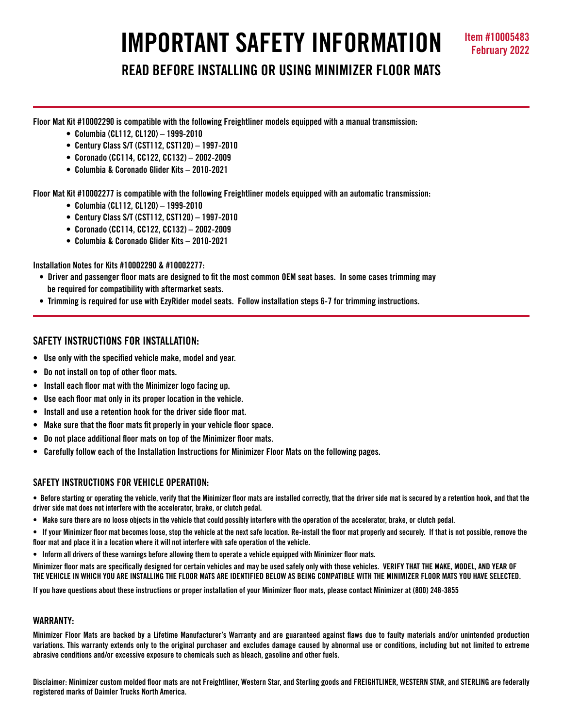# **IMPORTANT SAFETY INFORMATION Item #10005483**

**READ BEFORE INSTALLING OR USING MINIMIZER FLOOR MATS**

**Floor Mat Kit #10002290 is compatible with the following Freightliner models equipped with a manual transmission:**

- **Columbia (CL112, CL120) 1999-2010**
- **Century Class S/T (CST112, CST120) 1997-2010**
- **Coronado (CC114, CC122, CC132) 2002-2009**
- **Columbia & Coronado Glider Kits 2010-2021**

**Floor Mat Kit #10002277 is compatible with the following Freightliner models equipped with an automatic transmission:** 

- **Columbia (CL112, CL120) 1999-2010**
- **Century Class S/T (CST112, CST120) 1997-2010**
- **Coronado (CC114, CC122, CC132) 2002-2009**
- **Columbia & Coronado Glider Kits 2010-2021**

**Installation Notes for Kits #10002290 & #10002277:** 

- **Driver and passenger floor mats are designed to fit the most common OEM seat bases. In some cases trimming may be required for compatibility with aftermarket seats.**
- **Trimming is required for use with EzyRider model seats. Follow installation steps 6-7 for trimming instructions.**

# **SAFETY INSTRUCTIONS FOR INSTALLATION:**

- **Use only with the specified vehicle make, model and year.**
- **Do not install on top of other floor mats.**
- **Install each floor mat with the Minimizer logo facing up.**
- **Use each floor mat only in its proper location in the vehicle.**
- **Install and use a retention hook for the driver side floor mat.**
- **Make sure that the floor mats fit properly in your vehicle floor space.**
- **Do not place additional floor mats on top of the Minimizer floor mats.**
- **Carefully follow each of the Installation Instructions for Minimizer Floor Mats on the following pages.**

## **SAFETY INSTRUCTIONS FOR VEHICLE OPERATION:**

**• Before starting or operating the vehicle, verify that the Minimizer floor mats are installed correctly, that the driver side mat is secured by a retention hook, and that the driver side mat does not interfere with the accelerator, brake, or clutch pedal.**

- **Make sure there are no loose objects in the vehicle that could possibly interfere with the operation of the accelerator, brake, or clutch pedal.**
- **If your Minimizer floor mat becomes loose, stop the vehicle at the next safe location. Re-install the floor mat properly and securely. If that is not possible, remove the floor mat and place it in a location where it will not interfere with safe operation of the vehicle.**
- **Inform all drivers of these warnings before allowing them to operate a vehicle equipped with Minimizer floor mats.**

**Minimizer floor mats are specifically designed for certain vehicles and may be used safely only with those vehicles. VERIFY THAT THE MAKE, MODEL, AND YEAR OF THE VEHICLE IN WHICH YOU ARE INSTALLING THE FLOOR MATS ARE IDENTIFIED BELOW AS BEING COMPATIBLE WITH THE MINIMIZER FLOOR MATS YOU HAVE SELECTED.** 

**If you have questions about these instructions or proper installation of your Minimizer floor mats, please contact Minimizer at (800) 248-3855**

## **WARRANTY:**

**Minimizer Floor Mats are backed by a Lifetime Manufacturer's Warranty and are guaranteed against flaws due to faulty materials and/or unintended production variations. This warranty extends only to the original purchaser and excludes damage caused by abnormal use or conditions, including but not limited to extreme abrasive conditions and/or excessive exposure to chemicals such as bleach, gasoline and other fuels.**

**Disclaimer: Minimizer custom molded floor mats are not Freightliner, Western Star, and Sterling goods and FREIGHTLINER, WESTERN STAR, and STERLING are federally registered marks of Daimler Trucks North America.**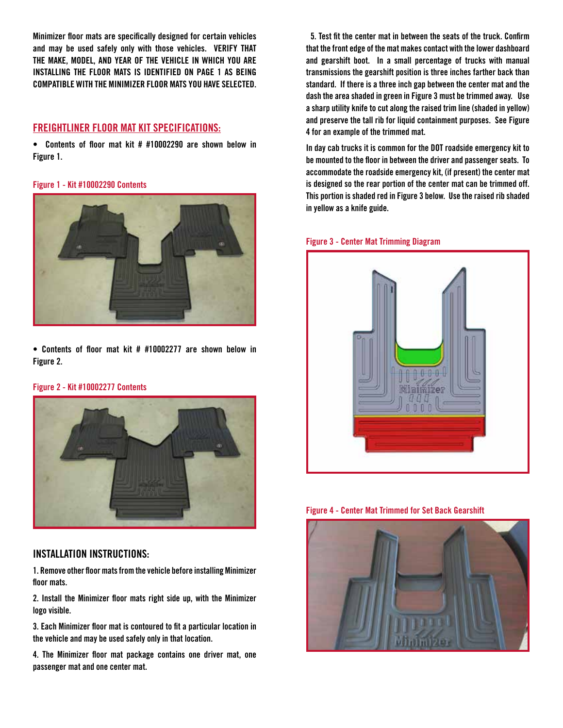**Minimizer floor mats are specifically designed for certain vehicles and may be used safely only with those vehicles. VERIFY THAT THE MAKE, MODEL, AND YEAR OF THE VEHICLE IN WHICH YOU ARE INSTALLING THE FLOOR MATS IS IDENTIFIED ON PAGE 1 AS BEING COMPATIBLE WITH THE MINIMIZER FLOOR MATS YOU HAVE SELECTED.**

# **FREIGHTLINER FLOOR MAT KIT SPECIFICATIONS:**

**• Contents of floor mat kit # #10002290 are shown below in Figure 1.**

#### **Figure 1 - Kit #10002290 Contents**



**• Contents of floor mat kit # #10002277 are shown below in Figure 2.** 

#### **Figure 2 - Kit #10002277 Contents**



## **INSTALLATION INSTRUCTIONS:**

**1. Remove other floor mats from the vehicle before installing Minimizer floor mats.**

**2. Install the Minimizer floor mats right side up, with the Minimizer logo visible.**

**3. Each Minimizer floor mat is contoured to fit a particular location in the vehicle and may be used safely only in that location.**

**4. The Minimizer floor mat package contains one driver mat, one passenger mat and one center mat.**

 **5. Test fit the center mat in between the seats of the truck. Confirm that the front edge of the mat makes contact with the lower dashboard and gearshift boot. In a small percentage of trucks with manual transmissions the gearshift position is three inches farther back than standard. If there is a three inch gap between the center mat and the dash the area shaded in green in Figure 3 must be trimmed away. Use a sharp utility knife to cut along the raised trim line (shaded in yellow) and preserve the tall rib for liquid containment purposes. See Figure 4 for an example of the trimmed mat.** 

**In day cab trucks it is common for the DOT roadside emergency kit to be mounted to the floor in between the driver and passenger seats. To accommodate the roadside emergency kit, (if present) the center mat is designed so the rear portion of the center mat can be trimmed off. This portion is shaded red in Figure 3 below. Use the raised rib shaded in yellow as a knife guide.**

#### **Figure 3 - Center Mat Trimming Diagram**



**Figure 4 - Center Mat Trimmed for Set Back Gearshift**

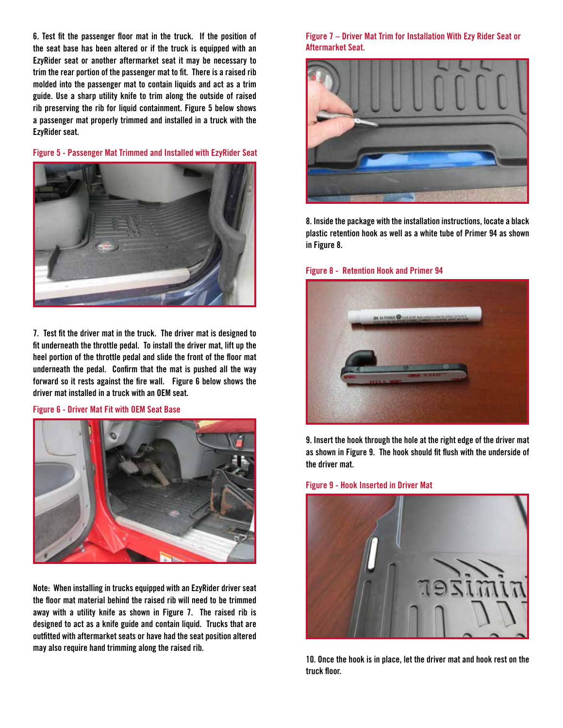**6. Test fit the passenger floor mat in the truck. If the position of the seat base has been altered or if the truck is equipped with an EzyRider seat or another aftermarket seat it may be necessary to trim the rear portion of the passenger mat to fit. There is a raised rib molded into the passenger mat to contain liquids and act as a trim guide. Use a sharp utility knife to trim along the outside of raised rib preserving the rib for liquid containment. Figure 5 below shows a passenger mat properly trimmed and installed in a truck with the EzyRider seat.** 

**Figure 5 - Passenger Mat Trimmed and Installed with EzyRider Seat**



**7. Test fit the driver mat in the truck. The driver mat is designed to fit underneath the throttle pedal. To install the driver mat, lift up the heel portion of the throttle pedal and slide the front of the floor mat underneath the pedal. Confirm that the mat is pushed all the way forward so it rests against the fire wall. Figure 6 below shows the driver mat installed in a truck with an OEM seat.** 

**Figure 6 - Driver Mat Fit with OEM Seat Base**



**Note: When installing in trucks equipped with an EzyRider driver seat the floor mat material behind the raised rib will need to be trimmed away with a utility knife as shown in Figure 7. The raised rib is designed to act as a knife guide and contain liquid. Trucks that are outfitted with aftermarket seats or have had the seat position altered may also require hand trimming along the raised rib.** 

**Figure 7 – Driver Mat Trim for Installation With Ezy Rider Seat or Aftermarket Seat.**



**8. Inside the package with the installation instructions, locate a black plastic retention hook as well as a white tube of Primer 94 as shown in Figure 8.**

#### **Figure 8 - Retention Hook and Primer 94**



**9. Insert the hook through the hole at the right edge of the driver mat as shown in Figure 9. The hook should fit flush with the underside of the driver mat.** 

#### **Figure 9 - Hook Inserted in Driver Mat**



**10. Once the hook is in place, let the driver mat and hook rest on the truck floor.**